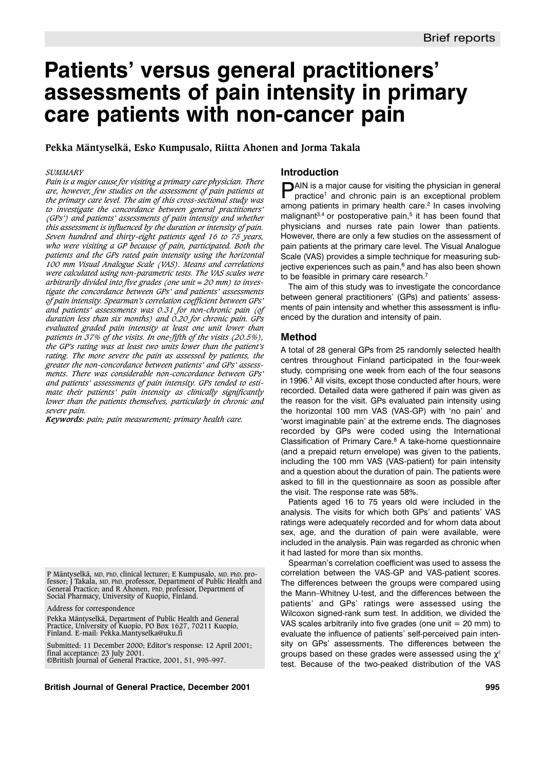# **Patients' versus general practitioners' assessments of pain intensity in primary care patients with non-cancer pain**

# **Pekka Mäntyselkä, Esko Kumpusalo, Riitta Ahonen and Jorma Takala**

#### *SUMMARY*

*Pain is a major cause for visiting a primary care physician. There are, however, few studies on the assessment of pain patients at the primary care level. The aim of this cross-sectional study was to investigate the concordance between general practitioners' (GPs') and patients' assessments of pain intensity and whether this assessment is influenced by the duration or intensity of pain. Seven hundred and thirty-eight patients aged 16 to 75 years, who were visiting a GP because of pain, participated. Both the patients and the GPs rated pain intensity using the horizontal 100 mm Visual Analogue Scale (VAS). Means and correlations were calculated using non-parametric tests. The VAS scales were arbitrarily divided into five grades (one unit = 20 mm) to investigate the concordance between GPs' and patients' assessments of pain intensity. Spearman's correlation coefficient between GPs' and patients' assessments was 0.31 for non-chronic pain (of duration less than six months) and 0.20 for chronic pain. GPs evaluated graded pain intensity at least one unit lower than patients in 37% of the visits. In one-fifth of the visits (20.5%), the GP's rating was at least two units lower than the patient's rating. The more severe the pain as assessed by patients, the greater the non-concordance between patients' and GPs' assessments. There was considerable non-concordance between GPs' and patients' assessments of pain intensity. GPs tended to estimate their patients' pain intensity as clinically significantly lower than the patients themselves, particularly in chronic and severe pain.* 

*Keywords: pain; pain measurement; primary health care.*

P Mäntyselkä, MD, PhD, clinical lecturer; E Kumpusalo, MD, PhD, professor; J Takala, MD, PhD, professor, Department of Public Health and General Practice; and R Ahonen, PhD, professor, Department of Social Pharmacy, University of Kuopio, Finland.

Address for correspondence

Pekka Mäntyselkä, Department of Public Health and General Practice, University of Kuopio, PO Box 1627, 70211 Kuopio, Finland. E-mail: Pekka.Mantyselka@uku.fi

Submitted: 11 December 2000; Editor's response: 12 April 2001; final acceptance: 23 July 2001. ©British Journal of General Practice, 2001, 51, 995-997.

#### **British Journal of General Practice, December 2001 995**

# **Introduction**

**PAIN** is a major cause for visiting the physician in general practice<sup>1</sup> and chronic pain is an exceptional problem among patients in primary health care.<sup>2</sup> In cases involving malignant $3,4$  or postoperative pain, $5$  it has been found that physicians and nurses rate pain lower than patients. However, there are only a few studies on the assessment of pain patients at the primary care level. The Visual Analogue Scale (VAS) provides a simple technique for measuring subjective experiences such as pain, $6$  and has also been shown to be feasible in primary care research.<sup>7</sup>

The aim of this study was to investigate the concordance between general practitioners' (GPs) and patients' assessments of pain intensity and whether this assessment is influenced by the duration and intensity of pain.

## **Method**

A total of 28 general GPs from 25 randomly selected health centres throughout Finland participated in the four-week study, comprising one week from each of the four seasons in 1996.<sup>1</sup> All visits, except those conducted after hours, were recorded. Detailed data were gathered if pain was given as the reason for the visit. GPs evaluated pain intensity using the horizontal 100 mm VAS (VAS-GP) with 'no pain' and 'worst imaginable pain' at the extreme ends. The diagnoses recorded by GPs were coded using the International Classification of Primary Care.<sup>8</sup> A take-home questionnaire (and a prepaid return envelope) was given to the patients, including the 100 mm VAS (VAS-patient) for pain intensity and a question about the duration of pain. The patients were asked to fill in the questionnaire as soon as possible after the visit. The response rate was 58%.

Patients aged 16 to 75 years old were included in the analysis. The visits for which both GPs' and patients' VAS ratings were adequately recorded and for whom data about sex, age, and the duration of pain were available, were included in the analysis. Pain was regarded as chronic when it had lasted for more than six months.

Spearman's correlation coefficient was used to assess the correlation between the VAS-GP and VAS-patient scores. The differences between the groups were compared using the Mann–Whitney U-test, and the differences between the patients' and GPs' ratings were assessed using the Wilcoxon signed-rank sum test. In addition, we divided the VAS scales arbitrarily into five grades (one unit  $= 20$  mm) to evaluate the influence of patients' self-perceived pain intensity on GPs' assessments. The differences between the groups based on these grades were assessed using the  $\chi^2$ test. Because of the two-peaked distribution of the VAS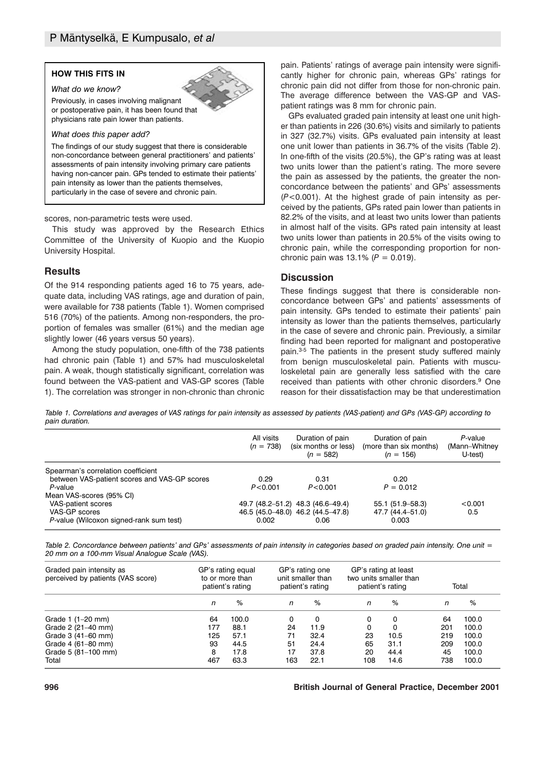## **HOW THIS FITS IN**

# *What do we know?*

Previously, in cases involving malignant or postoperative pain, it has been found that physicians rate pain lower than patients.

#### *What does this paper add?*

The findings of our study suggest that there is considerable non-concordance between general practitioners' and patients' assessments of pain intensity involving primary care patients having non-cancer pain. GPs tended to estimate their patients' pain intensity as lower than the patients themselves, particularly in the case of severe and chronic pain.

scores, non-parametric tests were used.

This study was approved by the Research Ethics Committee of the University of Kuopio and the Kuopio University Hospital.

# **Results**

Of the 914 responding patients aged 16 to 75 years, adequate data, including VAS ratings, age and duration of pain, were available for 738 patients (Table 1). Women comprised 516 (70%) of the patients. Among non-responders, the proportion of females was smaller (61%) and the median age slightly lower (46 years versus 50 years).

Among the study population, one-fifth of the 738 patients had chronic pain (Table 1) and 57% had musculoskeletal pain. A weak, though statistically significant, correlation was found between the VAS-patient and VAS-GP scores (Table 1). The correlation was stronger in non-chronic than chronic pain. Patients' ratings of average pain intensity were significantly higher for chronic pain, whereas GPs' ratings for chronic pain did not differ from those for non-chronic pain. The average difference between the VAS-GP and VASpatient ratings was 8 mm for chronic pain.

GPs evaluated graded pain intensity at least one unit higher than patients in 226 (30.6%) visits and similarly to patients in 327 (32.7%) visits. GPs evaluated pain intensity at least one unit lower than patients in 36.7% of the visits (Table 2). In one-fifth of the visits (20.5%), the GP's rating was at least two units lower than the patient's rating. The more severe the pain as assessed by the patients, the greater the nonconcordance between the patients' and GPs' assessments (*P*<0.001). At the highest grade of pain intensity as perceived by the patients, GPs rated pain lower than patients in 82.2% of the visits, and at least two units lower than patients in almost half of the visits. GPs rated pain intensity at least two units lower than patients in 20.5% of the visits owing to chronic pain, while the corresponding proportion for nonchronic pain was  $13.1\%$  ( $P = 0.019$ ).

## **Discussion**

These findings suggest that there is considerable nonconcordance between GPs' and patients' assessments of pain intensity. GPs tended to estimate their patients' pain intensity as lower than the patients themselves, particularly in the case of severe and chronic pain. Previously, a similar finding had been reported for malignant and postoperative pain.3-5 The patients in the present study suffered mainly from benign musculoskeletal pain. Patients with musculoskeletal pain are generally less satisfied with the care received than patients with other chronic disorders.<sup>9</sup> One reason for their dissatisfaction may be that underestimation

*Table 1. Correlations and averages of VAS ratings for pain intensity as assessed by patients (VAS-patient) and GPs (VAS-GP) according to pain duration.*

|                                              | All visits<br>$(n = 738)$ | Duration of pain<br>(six months or less)<br>$(n = 582)$ | Duration of pain<br>(more than six months)<br>$(n = 156)$ | P-value<br>(Mann-Whitney)<br>U-test) |
|----------------------------------------------|---------------------------|---------------------------------------------------------|-----------------------------------------------------------|--------------------------------------|
| Spearman's correlation coefficient           |                           |                                                         |                                                           |                                      |
| between VAS-patient scores and VAS-GP scores | 0.29                      | 0.31                                                    | 0.20                                                      |                                      |
| P-value                                      | P < 0.001                 | P < 0.001                                               | $P = 0.012$                                               |                                      |
| Mean VAS-scores (95% CI)                     |                           |                                                         |                                                           |                                      |
| VAS-patient scores                           |                           | 49.7 (48.2–51.2) 48.3 (46.6–49.4)                       | $55.1(51.9 - 58.3)$                                       | < 0.001                              |
| VAS-GP scores                                |                           | 46.5 (45.0–48.0) 46.2 (44.5–47.8)                       | 47.7 (44.4–51.0)                                          | 0.5                                  |
| P-value (Wilcoxon signed-rank sum test)      | 0.002                     | 0.06                                                    | 0.003                                                     |                                      |

*Table 2. Concordance between patients' and GPs' assessments of pain intensity in categories based on graded pain intensity. One unit = 20 mm on a 100-mm Visual Analogue Scale (VAS).*

| Graded pain intensity as<br>perceived by patients (VAS score) | GP's rating equal<br>to or more than<br>patient's rating |       | GP's rating one<br>unit smaller than<br>patient's rating |      | GP's rating at least<br>two units smaller than<br>patient's rating |      | Total |       |
|---------------------------------------------------------------|----------------------------------------------------------|-------|----------------------------------------------------------|------|--------------------------------------------------------------------|------|-------|-------|
|                                                               | n                                                        | %     | n                                                        | %    | n                                                                  | %    | n     | %     |
| Grade $1$ (1–20 mm)                                           | 64                                                       | 100.0 | 0                                                        | 0    | 0                                                                  |      | 64    | 100.0 |
| Grade 2 (21-40 mm)                                            | 177                                                      | 88.1  | 24                                                       | 11.9 | 0                                                                  | O    | 201   | 100.0 |
| Grade 3 (41–60 mm)                                            | 125                                                      | 57.1  | 71                                                       | 32.4 | 23                                                                 | 10.5 | 219   | 100.0 |
| Grade 4 (61-80 mm)                                            | 93                                                       | 44.5  | 51                                                       | 24.4 | 65                                                                 | 31.1 | 209   | 100.0 |
| Grade 5 (81-100 mm)                                           | 8                                                        | 17.8  | 17                                                       | 37.8 | 20                                                                 | 44.4 | 45    | 100.0 |
| Total                                                         | 467                                                      | 63.3  | 163                                                      | 22.1 | 108                                                                | 14.6 | 738   | 100.0 |